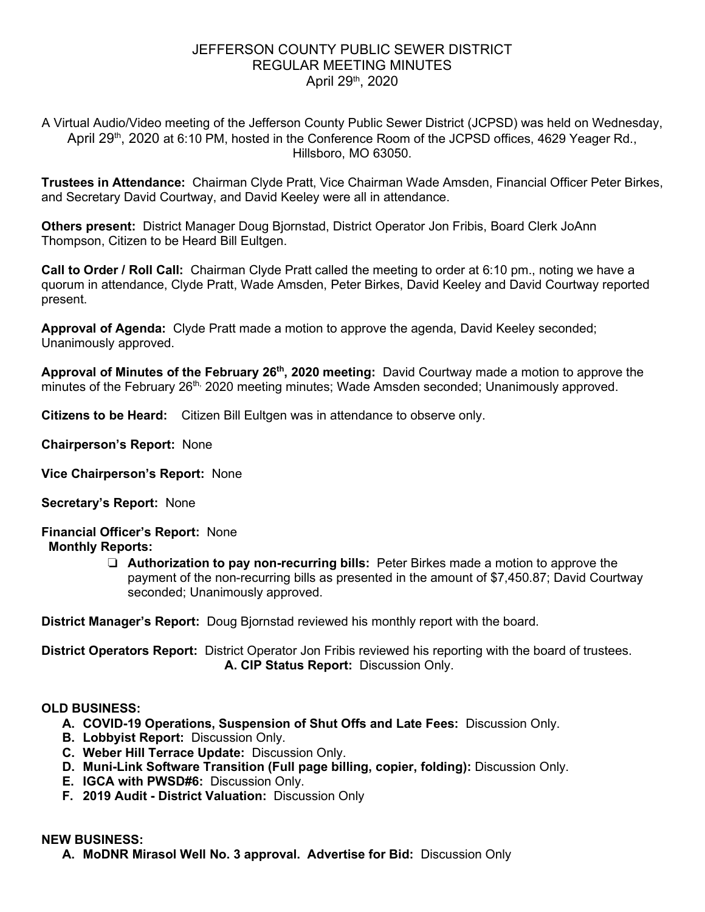## JEFFERSON COUNTY PUBLIC SEWER DISTRICT REGULAR MEETING MINUTES April 29th, 2020

A Virtual Audio/Video meeting of the Jefferson County Public Sewer District (JCPSD) was held on Wednesday, April 29<sup>th</sup>, 2020 at 6:10 PM, hosted in the Conference Room of the JCPSD offices, 4629 Yeager Rd., Hillsboro, MO 63050.

**Trustees in Attendance:** Chairman Clyde Pratt, Vice Chairman Wade Amsden, Financial Officer Peter Birkes, and Secretary David Courtway, and David Keeley were all in attendance.

**Others present:** District Manager Doug Bjornstad, District Operator Jon Fribis, Board Clerk JoAnn Thompson, Citizen to be Heard Bill Eultgen.

**Call to Order / Roll Call:** Chairman Clyde Pratt called the meeting to order at 6:10 pm., noting we have a quorum in attendance, Clyde Pratt, Wade Amsden, Peter Birkes, David Keeley and David Courtway reported present.

**Approval of Agenda:** Clyde Pratt made a motion to approve the agenda, David Keeley seconded; Unanimously approved.

**Approval of Minutes of the February 26th, 2020 meeting:** David Courtway made a motion to approve the minutes of the February 26<sup>th,</sup> 2020 meeting minutes; Wade Amsden seconded; Unanimously approved.

**Citizens to be Heard:** Citizen Bill Eultgen was in attendance to observe only.

**Chairperson's Report:** None

**Vice Chairperson's Report:** None

**Secretary's Report:** None

### **Financial Officer's Report:** None **Monthly Reports:**

❏ **Authorization to pay non-recurring bills:** Peter Birkes made a motion to approve the payment of the non-recurring bills as presented in the amount of \$7,450.87; David Courtway seconded; Unanimously approved.

**District Manager's Report:** Doug Bjornstad reviewed his monthly report with the board.

**District Operators Report:** District Operator Jon Fribis reviewed his reporting with the board of trustees.  **A. CIP Status Report:** Discussion Only.

## **OLD BUSINESS:**

- **A. COVID-19 Operations, Suspension of Shut Offs and Late Fees:** Discussion Only.
- **B. Lobbyist Report:** Discussion Only.
- **C. Weber Hill Terrace Update:** Discussion Only.
- **D. Muni-Link Software Transition (Full page billing, copier, folding):** Discussion Only.
- **E. IGCA with PWSD#6:** Discussion Only.
- **F. 2019 Audit District Valuation:** Discussion Only

### **NEW BUSINESS:**

**A. MoDNR Mirasol Well No. 3 approval. Advertise for Bid:** Discussion Only